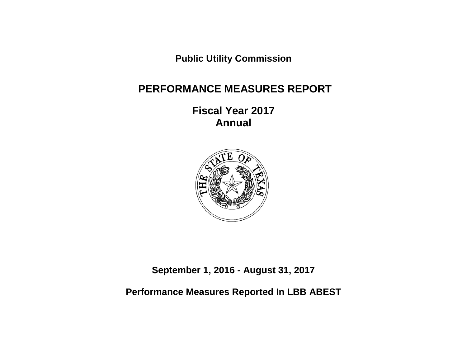**Public Utility Commission**

# **PERFORMANCE MEASURES REPORT**

**Fiscal Year 2017 Annual**



**September 1, 2016 - August 31, 2017**

**Performance Measures Reported In LBB ABEST**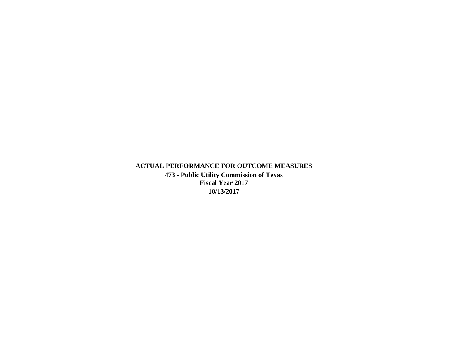**ACTUAL PERFORMANCE FOR OUTCOME MEASURES 473 - Public Utility Commission of Texas Fiscal Year 2017 10/13/2017**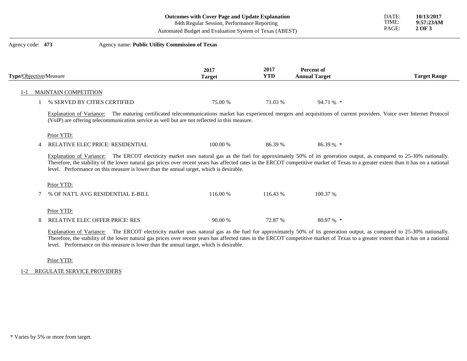|  |  | Outcomes with Cover Page and Update Explanation |
|--|--|-------------------------------------------------|
|--|--|-------------------------------------------------|

TIME: PAGE:

DATE: **10/13/2017**

**9:57:23AM 2 OF 3**

84th Regular Session, Performance Reporting

Automated Budget and Evaluation System of Texas (ABEST)

| Agency code: 473       |                      | Agency name: Public Utility Commission of Texas                                                                                                                                                                                                                                                                                                                                                                                                         |                       |                    |                                           |                     |
|------------------------|----------------------|---------------------------------------------------------------------------------------------------------------------------------------------------------------------------------------------------------------------------------------------------------------------------------------------------------------------------------------------------------------------------------------------------------------------------------------------------------|-----------------------|--------------------|-------------------------------------------|---------------------|
| Type/Objective/Measure |                      |                                                                                                                                                                                                                                                                                                                                                                                                                                                         | 2017<br><b>Target</b> | 2017<br><b>YTD</b> | <b>Percent of</b><br><b>Annual Target</b> | <b>Target Range</b> |
|                        | MAINTAIN COMPETITION |                                                                                                                                                                                                                                                                                                                                                                                                                                                         |                       |                    |                                           |                     |
|                        |                      | % SERVED BY CITIES CERTIFIED                                                                                                                                                                                                                                                                                                                                                                                                                            | 75.00 %               | 71.03 %            | 94.71 % *                                 |                     |
|                        |                      | Explanation of Variance: The maturing certificated telecommunications market has experienced mergers and acquisitions of current providers. Voice over Internet Protocol<br>(VoIP) are offering telecommunication service as well but are not reflected in this measure.                                                                                                                                                                                |                       |                    |                                           |                     |
|                        | Prior YTD:           | <b>RELATIVE ELEC PRICE: RESIDENTIAL</b>                                                                                                                                                                                                                                                                                                                                                                                                                 | 100.00 %              | 86.39 %            | $86.39\%$ *                               |                     |
|                        |                      | Explanation of Variance: The ERCOT electricity market uses natural gas as the fuel for approximately 50% of its generation output, as compared to 25-30% nationally.<br>Therefore, the stability of the lower natural gas prices over recent years has affected rates in the ERCOT competitive market of Texas to a greater extent than it has on a national<br>level. Performance on this measure is lower than the annual target, which is desirable. |                       |                    |                                           |                     |
|                        | Prior YTD:           |                                                                                                                                                                                                                                                                                                                                                                                                                                                         |                       |                    |                                           |                     |
|                        |                      | % OF NAT'L AVG RESIDENTIAL E-BILL                                                                                                                                                                                                                                                                                                                                                                                                                       | 116.00 %              | 116.43 %           | 100.37 %                                  |                     |
|                        | Prior YTD:           |                                                                                                                                                                                                                                                                                                                                                                                                                                                         |                       |                    |                                           |                     |
| 8                      |                      | <b>RELATIVE ELEC OFFER PRICE: RES</b>                                                                                                                                                                                                                                                                                                                                                                                                                   | 90.00 %               | 72.87 %            | $80.97\%$ *                               |                     |
|                        |                      |                                                                                                                                                                                                                                                                                                                                                                                                                                                         |                       |                    |                                           |                     |

Explanation of Variance: The ERCOT electricity market uses natural gas as the fuel for approximately 50% of its generation output, as compared to 25-30% nationally. Therefore, the stability of the lower natural gas prices over recent years has affected rates in the ERCOT competitive market of Texas to a greater extent than it has on a national level. Performance on this measure is lower than the annual target, which is desirable.

Prior YTD:

1-2 REGULATE SERVICE PROVIDERS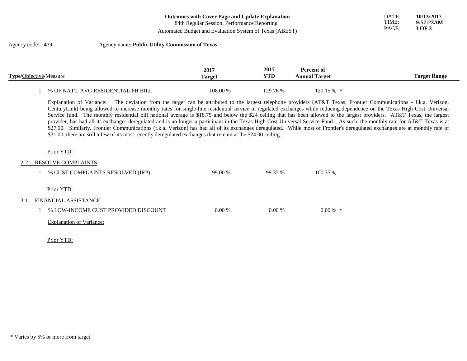| <b>Outcomes with Cover Page and Update Explanation</b> |  |
|--------------------------------------------------------|--|
|--------------------------------------------------------|--|

84th Regular Session, Performance Reporting

Automated Budget and Evaluation System of Texas (ABEST)

# Agency code: **473** Agency name: **Public Utility Commission of Texas 2017 Type/**Objective**/**Measure **Target 2017 YTD Percent of Annual Target Target Range** 1 % OF NAT'L AVG RESIDENTIAL PH BILL 108.00 % 129.76 % 120.15 % \*

Explanation of Variance: The deviation from the target can be attributed to the largest telephone providers (AT&T Texas, Frontier Communications - f.k.a. Verizon, CenturyLink) being allowed to increase monthly rates for single-line residential service in regulated exchanges while reducing dependence on the Texas High Cost Universal Service fund. The monthly residential bill national average is \$18.75 and below the \$24 ceiling that has been allowed to the largest providers. AT&T Texas, the largest provider, has had all its exchanges deregulated and is no longer a participant in the Texas High Cost Universal Service Fund. As such, the monthly rate for AT&T Texas is at \$27.00. Similarly, Frontier Communications (f.k.a. Verizon) has had all of its exchanges deregulated. While most of Frontier's deregulated exchanges are at monthly rate of \$31.00, there are still a few of its most recently deregulated exchanges that remain at the \$24.00 ceiling.

### Prior YTD:

#### 2-2 RESOLVE COMPLAINTS

|       | % CUST COMPLAINTS RESOLVED (IRP)    | 99.00 %  | 99.35 %  | 100.35 %   |
|-------|-------------------------------------|----------|----------|------------|
|       | Prior YTD:                          |          |          |            |
| $3-1$ | FINANCIAL ASSISTANCE                |          |          |            |
|       | % LOW-INCOME CUST PROVIDED DISCOUNT | $0.00\%$ | $0.00\%$ | $0.00\%$ * |
|       | <b>Explanation of Variance:</b>     |          |          |            |

Prior YTD: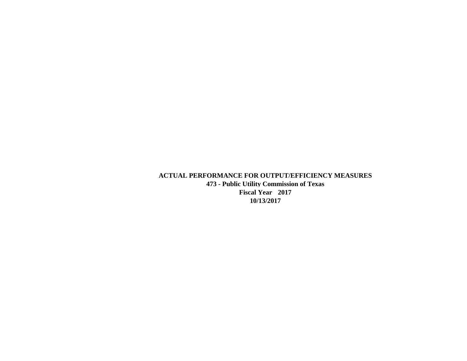**ACTUAL PERFORMANCE FOR OUTPUT/EFFICIENCY MEASURES 473 - Public Utility Commission of Texas Fiscal Year 2017 10/13/2017**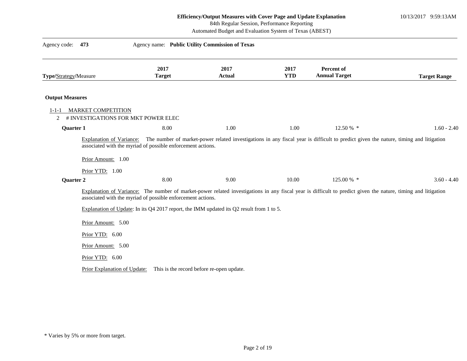10/13/2017 9:59:13AM

84th Regular Session, Performance Reporting

Automated Budget and Evaluation System of Texas (ABEST)

| Agency code:<br>473                                                                               | Agency name: Public Utility Commission of Texas                                                                                                         |                       |                    |                                                                                                                                                               |                     |
|---------------------------------------------------------------------------------------------------|---------------------------------------------------------------------------------------------------------------------------------------------------------|-----------------------|--------------------|---------------------------------------------------------------------------------------------------------------------------------------------------------------|---------------------|
| Type/Strategy/Measure                                                                             | 2017<br><b>Target</b>                                                                                                                                   | 2017<br><b>Actual</b> | 2017<br><b>YTD</b> | Percent of<br><b>Annual Target</b>                                                                                                                            | <b>Target Range</b> |
| <b>Output Measures</b>                                                                            |                                                                                                                                                         |                       |                    |                                                                                                                                                               |                     |
| <b>MARKET COMPETITION</b><br>$1 - 1 - 1$<br># INVESTIGATIONS FOR MKT POWER ELEC<br>$\overline{2}$ |                                                                                                                                                         |                       |                    |                                                                                                                                                               |                     |
| Quarter 1                                                                                         | 8.00                                                                                                                                                    | 1.00                  | 1.00               | 12.50 % *                                                                                                                                                     | $1.60 - 2.40$       |
| <b>Explanation of Variance:</b><br>Prior Amount: 1.00<br>Prior YTD: 1.00                          | associated with the myriad of possible enforcement actions.                                                                                             |                       |                    | The number of market-power related investigations in any fiscal year is difficult to predict given the nature, timing and litigation                          |                     |
| Quarter 2                                                                                         | 8.00                                                                                                                                                    | 9.00                  | 10.00              | 125.00 % *                                                                                                                                                    | $3.60 - 4.40$       |
|                                                                                                   | associated with the myriad of possible enforcement actions.<br>Explanation of Update: In its Q4 2017 report, the IMM updated its Q2 result from 1 to 5. |                       |                    | Explanation of Variance: The number of market-power related investigations in any fiscal year is difficult to predict given the nature, timing and litigation |                     |
| Prior Amount: 5.00                                                                                |                                                                                                                                                         |                       |                    |                                                                                                                                                               |                     |
| Prior YTD: 6.00                                                                                   |                                                                                                                                                         |                       |                    |                                                                                                                                                               |                     |
| Prior Amount: 5.00                                                                                |                                                                                                                                                         |                       |                    |                                                                                                                                                               |                     |
| Prior YTD: 6.00                                                                                   |                                                                                                                                                         |                       |                    |                                                                                                                                                               |                     |
|                                                                                                   | Prior Explanation of Update: This is the record before re-open update.                                                                                  |                       |                    |                                                                                                                                                               |                     |

<sup>\*</sup> Varies by 5% or more from target.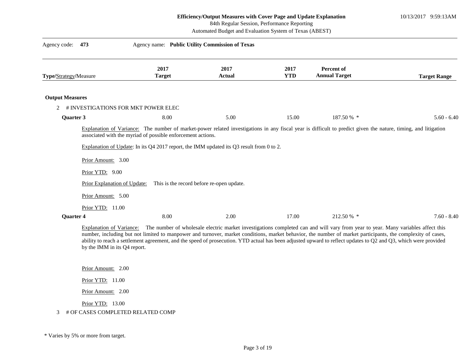10/13/2017 9:59:13AM

|                        |                                                                                             |                                                             | 84th Regular Session, Performance Reporting<br>Automated Budget and Evaluation System of Texas (ABEST)                                |                    |                                                                                                                                                                |                     |
|------------------------|---------------------------------------------------------------------------------------------|-------------------------------------------------------------|---------------------------------------------------------------------------------------------------------------------------------------|--------------------|----------------------------------------------------------------------------------------------------------------------------------------------------------------|---------------------|
| Agency code:           | 473                                                                                         | Agency name: Public Utility Commission of Texas             |                                                                                                                                       |                    |                                                                                                                                                                |                     |
| Type/Strategy/Measure  |                                                                                             | 2017<br><b>Target</b>                                       | 2017<br>Actual                                                                                                                        | 2017<br><b>YTD</b> | Percent of<br><b>Annual Target</b>                                                                                                                             | <b>Target Range</b> |
| <b>Output Measures</b> |                                                                                             |                                                             |                                                                                                                                       |                    |                                                                                                                                                                |                     |
| 2                      | # INVESTIGATIONS FOR MKT POWER ELEC                                                         |                                                             |                                                                                                                                       |                    |                                                                                                                                                                |                     |
| Quarter 3              |                                                                                             | 8.00                                                        | 5.00                                                                                                                                  | 15.00              | 187.50 % *                                                                                                                                                     | $5.60 - 6.40$       |
|                        | Prior Amount: 3.00<br>Prior YTD: 9.00<br>Prior Explanation of Update:<br>Prior Amount: 5.00 | associated with the myriad of possible enforcement actions. | Explanation of Update: In its Q4 2017 report, the IMM updated its Q3 result from 0 to 2.<br>This is the record before re-open update. |                    | Explanation of Variance: The number of market-power related investigations in any fiscal year is difficult to predict given the nature, timing, and litigation |                     |
| <b>Quarter 4</b>       | Prior YTD: 11.00                                                                            | 8.00                                                        | 2.00                                                                                                                                  | 17.00              | 212.50 % *                                                                                                                                                     | $7.60 - 8.40$       |

Explanation of Variance: The number of wholesale electric market investigations completed can and will vary from year to year. Many variables affect this number, including but not limited to manpower and turnover, market conditions, market behavior, the number of market participants, the complexity of cases, ability to reach a settlement agreement, and the speed of prosecution. YTD actual has been adjusted upward to reflect updates to Q2 and Q3, which were provided by the IMM in its Q4 report.

Prior Amount: 2.00

Prior YTD: 11.00

Prior Amount: 2.00

Prior YTD: 13.00

3 # OF CASES COMPLETED RELATED COMP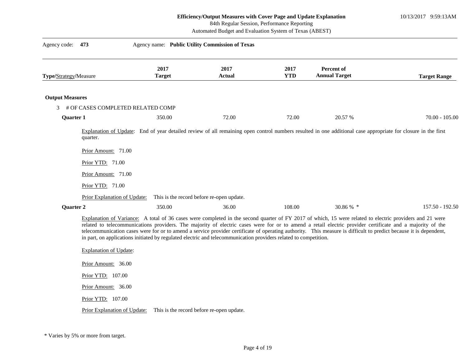10/13/2017 9:59:13AM

84th Regular Session, Performance Reporting

Automated Budget and Evaluation System of Texas (ABEST)

| Agency code:           | 473                                                                                                                                                                                                                                                                                                                                                                                                                                                                                                                                                                                                                                                                                                                                              | Agency name: Public Utility Commission of Texas |                                           |                    |                                                                                                                                                               |                     |  |
|------------------------|--------------------------------------------------------------------------------------------------------------------------------------------------------------------------------------------------------------------------------------------------------------------------------------------------------------------------------------------------------------------------------------------------------------------------------------------------------------------------------------------------------------------------------------------------------------------------------------------------------------------------------------------------------------------------------------------------------------------------------------------------|-------------------------------------------------|-------------------------------------------|--------------------|---------------------------------------------------------------------------------------------------------------------------------------------------------------|---------------------|--|
| Type/Strategy/Measure  |                                                                                                                                                                                                                                                                                                                                                                                                                                                                                                                                                                                                                                                                                                                                                  | 2017<br><b>Target</b>                           | 2017<br><b>Actual</b>                     | 2017<br><b>YTD</b> | <b>Percent of</b><br><b>Annual Target</b>                                                                                                                     | <b>Target Range</b> |  |
| <b>Output Measures</b> |                                                                                                                                                                                                                                                                                                                                                                                                                                                                                                                                                                                                                                                                                                                                                  |                                                 |                                           |                    |                                                                                                                                                               |                     |  |
| 3                      | # OF CASES COMPLETED RELATED COMP                                                                                                                                                                                                                                                                                                                                                                                                                                                                                                                                                                                                                                                                                                                |                                                 |                                           |                    |                                                                                                                                                               |                     |  |
| <b>Quarter 1</b>       |                                                                                                                                                                                                                                                                                                                                                                                                                                                                                                                                                                                                                                                                                                                                                  | 350.00                                          | 72.00                                     | 72.00              | 20.57 %                                                                                                                                                       | $70.00 - 105.00$    |  |
|                        | quarter.<br>Prior Amount: 71.00<br>Prior YTD: 71.00<br>Prior Amount: 71.00<br>Prior YTD: 71.00                                                                                                                                                                                                                                                                                                                                                                                                                                                                                                                                                                                                                                                   |                                                 |                                           |                    | Explanation of Update: End of year detailed review of all remaining open control numbers resulted in one additional case appropriate for closure in the first |                     |  |
|                        | Prior Explanation of Update:                                                                                                                                                                                                                                                                                                                                                                                                                                                                                                                                                                                                                                                                                                                     |                                                 | This is the record before re-open update. |                    |                                                                                                                                                               |                     |  |
|                        | 350.00<br>36.00<br>108.00<br>30.86 % *<br>157.50 - 192.50<br>Quarter 2<br>Explanation of Variance: A total of 36 cases were completed in the second quarter of FY 2017 of which, 15 were related to electric providers and 21 were<br>related to telecommunications providers. The majority of electric cases were for or to amend a retail electric provider certificate and a majority of the<br>telecommunication cases were for or to amend a service provider certificate of operating authority. This measure is difficult to predict because it is dependent,<br>in part, on applications initiated by regulated electric and telecommunication providers related to competition.<br><b>Explanation of Update:</b><br>Prior Amount: 36.00 |                                                 |                                           |                    |                                                                                                                                                               |                     |  |

Prior YTD: 107.00

Prior Amount: 36.00

Prior YTD: 107.00

Prior Explanation of Update: This is the record before re-open update.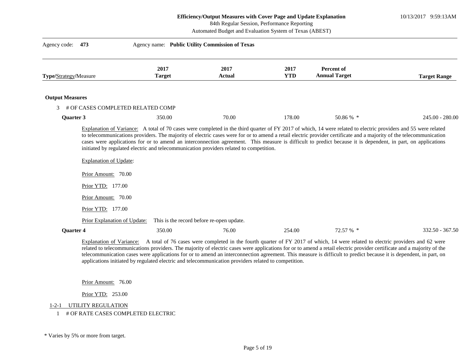10/13/2017 9:59:13AM

| 84th Regular Session, Performance Reporting<br>Automated Budget and Evaluation System of Texas (ABEST) |                                   |                       |                                                                                         |                    |                                                                                                                                                                                                                                                                                                                                                                                                                                                                                                        |                     |
|--------------------------------------------------------------------------------------------------------|-----------------------------------|-----------------------|-----------------------------------------------------------------------------------------|--------------------|--------------------------------------------------------------------------------------------------------------------------------------------------------------------------------------------------------------------------------------------------------------------------------------------------------------------------------------------------------------------------------------------------------------------------------------------------------------------------------------------------------|---------------------|
| Agency code:                                                                                           | 473                               |                       | Agency name: Public Utility Commission of Texas                                         |                    |                                                                                                                                                                                                                                                                                                                                                                                                                                                                                                        |                     |
| Type/Strategy/Measure                                                                                  |                                   | 2017<br><b>Target</b> | 2017<br>Actual                                                                          | 2017<br><b>YTD</b> | Percent of<br><b>Annual Target</b>                                                                                                                                                                                                                                                                                                                                                                                                                                                                     | <b>Target Range</b> |
| <b>Output Measures</b>                                                                                 |                                   |                       |                                                                                         |                    |                                                                                                                                                                                                                                                                                                                                                                                                                                                                                                        |                     |
| $\mathcal{F}$                                                                                          | # OF CASES COMPLETED RELATED COMP |                       |                                                                                         |                    |                                                                                                                                                                                                                                                                                                                                                                                                                                                                                                        |                     |
| Quarter 3                                                                                              |                                   | 350.00                | 70.00                                                                                   | 178.00             | 50.86 % *                                                                                                                                                                                                                                                                                                                                                                                                                                                                                              | $245.00 - 280.00$   |
|                                                                                                        | <b>Explanation of Update:</b>     |                       | initiated by regulated electric and telecommunication providers related to competition. |                    | Explanation of Variance: A total of 70 cases were completed in the third quarter of FY 2017 of which, 14 were related to electric providers and 55 were related<br>to telecommunications providers. The majority of electric cases were for or to amend a retail electric provider certificate and a majority of the telecommunication<br>cases were applications for or to amend an interconnection agreement. This measure is difficult to predict because it is dependent, in part, on applications |                     |
|                                                                                                        | Prior Amount: 70.00               |                       |                                                                                         |                    |                                                                                                                                                                                                                                                                                                                                                                                                                                                                                                        |                     |
|                                                                                                        | Prior YTD: 177.00                 |                       |                                                                                         |                    |                                                                                                                                                                                                                                                                                                                                                                                                                                                                                                        |                     |
|                                                                                                        | Prior Amount: 70.00               |                       |                                                                                         |                    |                                                                                                                                                                                                                                                                                                                                                                                                                                                                                                        |                     |
|                                                                                                        | Prior YTD: 177.00                 |                       |                                                                                         |                    |                                                                                                                                                                                                                                                                                                                                                                                                                                                                                                        |                     |
|                                                                                                        | Prior Explanation of Update:      |                       | This is the record before re-open update.                                               |                    |                                                                                                                                                                                                                                                                                                                                                                                                                                                                                                        |                     |
| Quarter 4                                                                                              |                                   | 350.00                | 76.00                                                                                   | 254.00             | 72.57 % *                                                                                                                                                                                                                                                                                                                                                                                                                                                                                              | $332.50 - 367.50$   |
|                                                                                                        |                                   |                       |                                                                                         |                    | Evolution of Variance: A total of 76 cases were completed in the fourth quarter of EV 2017 of which 14 were related to electric providers and 62 were                                                                                                                                                                                                                                                                                                                                                  |                     |

Explanation of Variance: A total of 76 cases were completed in the fourth quarter of FY 2017 of which, 14 were related to electric providers and 62 were related to telecommunications providers. The majority of electric cases were applications for or to amend a retail electric provider certificate and a majority of the telecommunication cases were applications for or to amend an interconnection agreement. This measure is difficult to predict because it is dependent, in part, on applications initiated by regulated electric and telecommunication providers related to competition.

Prior Amount: 76.00

Prior YTD: 253.00

## 1-2-1 UTILITY REGULATION

1 # OF RATE CASES COMPLETED ELECTRIC

<sup>\*</sup> Varies by 5% or more from target.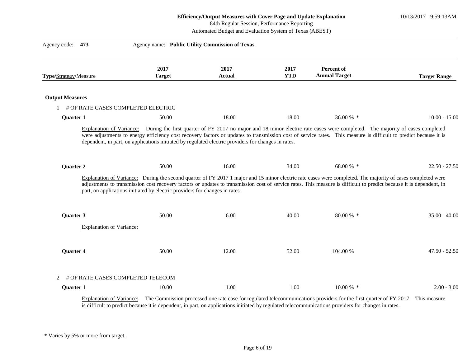|                                      |                                                                                                              | Efficiency/Output Measures with Cover Page and Update Explanation<br>84th Regular Session, Performance Reporting<br>Automated Budget and Evaluation System of Texas (ABEST) |                    |                                                                                                                                                                                                                                                                                                                                     |                     |  |
|--------------------------------------|--------------------------------------------------------------------------------------------------------------|-----------------------------------------------------------------------------------------------------------------------------------------------------------------------------|--------------------|-------------------------------------------------------------------------------------------------------------------------------------------------------------------------------------------------------------------------------------------------------------------------------------------------------------------------------------|---------------------|--|
| Agency code:<br>473                  | Agency name: Public Utility Commission of Texas                                                              |                                                                                                                                                                             |                    |                                                                                                                                                                                                                                                                                                                                     |                     |  |
| Type/Strategy/Measure                | 2017<br><b>Target</b>                                                                                        | 2017<br><b>Actual</b>                                                                                                                                                       | 2017<br><b>YTD</b> | Percent of<br><b>Annual Target</b>                                                                                                                                                                                                                                                                                                  | <b>Target Range</b> |  |
| <b>Output Measures</b>               |                                                                                                              |                                                                                                                                                                             |                    |                                                                                                                                                                                                                                                                                                                                     |                     |  |
| 1 # OF RATE CASES COMPLETED ELECTRIC |                                                                                                              |                                                                                                                                                                             |                    |                                                                                                                                                                                                                                                                                                                                     |                     |  |
| <b>Quarter 1</b>                     | 50.00                                                                                                        | 18.00                                                                                                                                                                       | 18.00              | 36.00 % *                                                                                                                                                                                                                                                                                                                           | $10.00 - 15.00$     |  |
| Quarter 2                            | dependent, in part, on applications initiated by regulated electric providers for changes in rates.<br>50.00 | 16.00                                                                                                                                                                       | 34.00              | were adjustments to energy efficiency cost recovery factors or updates to transmission cost of service rates. This measure is difficult to predict because it is<br>68.00 % *                                                                                                                                                       | $22.50 - 27.50$     |  |
|                                      | part, on applications initiated by electric providers for changes in rates.                                  |                                                                                                                                                                             |                    | Explanation of Variance: During the second quarter of FY 2017 1 major and 15 minor electric rate cases were completed. The majority of cases completed were<br>adjustments to transmission cost recovery factors or updates to transmission cost of service rates. This measure is difficult to predict because it is dependent, in |                     |  |
| <b>Ouarter 3</b>                     | 50.00                                                                                                        | 6.00                                                                                                                                                                        | 40.00              | $80.00\%$ *                                                                                                                                                                                                                                                                                                                         | $35.00 - 40.00$     |  |
| <b>Explanation of Variance:</b>      |                                                                                                              |                                                                                                                                                                             |                    |                                                                                                                                                                                                                                                                                                                                     |                     |  |
| Quarter 4                            | 50.00                                                                                                        | 12.00                                                                                                                                                                       | 52.00              | 104.00 %                                                                                                                                                                                                                                                                                                                            | $47.50 - 52.50$     |  |
| $\overline{2}$                       | # OF RATE CASES COMPLETED TELECOM                                                                            |                                                                                                                                                                             |                    |                                                                                                                                                                                                                                                                                                                                     |                     |  |
| <b>Quarter 1</b>                     | 10.00                                                                                                        | 1.00                                                                                                                                                                        | 1.00               | $10.00\%$ *                                                                                                                                                                                                                                                                                                                         | $2.00 - 3.00$       |  |
| Explanation of Variance:             |                                                                                                              |                                                                                                                                                                             |                    | The Commission processed one rate case for regulated telecommunications providers for the first quarter of FY 2017. This measure<br>is difficult to predict because it is dependent, in part, on applications initiated by regulated telecommunications providers for changes in rates.                                             |                     |  |

 $\frac{1}{2}$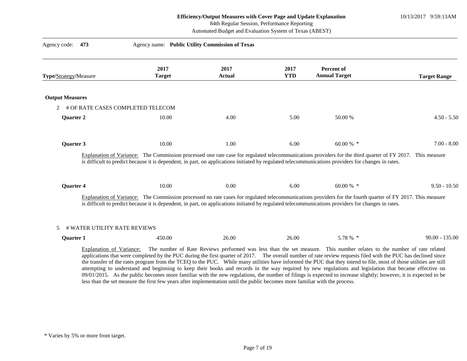# 84th Regular Session, Performance Reporting

Automated Budget and Evaluation System of Texas (ABEST)

| Agency code:<br>473                    | Agency name: Public Utility Commission of Texas                                                                             |                       |                    |                                                                                                                                                                                                                                                                                                                                                                                                                                                                                                                                                                                                                                                                                                                                                                                            |                     |
|----------------------------------------|-----------------------------------------------------------------------------------------------------------------------------|-----------------------|--------------------|--------------------------------------------------------------------------------------------------------------------------------------------------------------------------------------------------------------------------------------------------------------------------------------------------------------------------------------------------------------------------------------------------------------------------------------------------------------------------------------------------------------------------------------------------------------------------------------------------------------------------------------------------------------------------------------------------------------------------------------------------------------------------------------------|---------------------|
| Type/Strategy/Measure                  | 2017<br><b>Target</b>                                                                                                       | 2017<br><b>Actual</b> | 2017<br><b>YTD</b> | Percent of<br><b>Annual Target</b>                                                                                                                                                                                                                                                                                                                                                                                                                                                                                                                                                                                                                                                                                                                                                         | <b>Target Range</b> |
| <b>Output Measures</b>                 |                                                                                                                             |                       |                    |                                                                                                                                                                                                                                                                                                                                                                                                                                                                                                                                                                                                                                                                                                                                                                                            |                     |
| # OF RATE CASES COMPLETED TELECOM<br>2 |                                                                                                                             |                       |                    |                                                                                                                                                                                                                                                                                                                                                                                                                                                                                                                                                                                                                                                                                                                                                                                            |                     |
| Quarter 2                              | 10.00                                                                                                                       | 4.00                  | 5.00               | 50.00 %                                                                                                                                                                                                                                                                                                                                                                                                                                                                                                                                                                                                                                                                                                                                                                                    | $4.50 - 5.50$       |
| <b>Quarter 3</b>                       | 10.00                                                                                                                       | 1.00                  | 6.00               | 60.00 % *                                                                                                                                                                                                                                                                                                                                                                                                                                                                                                                                                                                                                                                                                                                                                                                  | $7.00 - 8.00$       |
|                                        |                                                                                                                             |                       |                    | Explanation of Variance: The Commission processed one rate case for regulated telecommunications providers for the third quarter of FY 2017. This measure<br>is difficult to predict because it is dependent, in part, on applications initiated by regulated telecommunications providers for changes in rates.                                                                                                                                                                                                                                                                                                                                                                                                                                                                           |                     |
| <b>Quarter 4</b>                       | 10.00                                                                                                                       | 0.00                  | 6.00               | 60.00 % $*$                                                                                                                                                                                                                                                                                                                                                                                                                                                                                                                                                                                                                                                                                                                                                                                | $9.50 - 10.50$      |
|                                        |                                                                                                                             |                       |                    | Explanation of Variance: The Commission processed no rate cases for regulated telecommunications providers for the fourth quarter of FY 2017. This measure<br>is difficult to predict because it is dependent, in part, on applications initiated by regulated telecommunications providers for changes in rates.                                                                                                                                                                                                                                                                                                                                                                                                                                                                          |                     |
| # WATER UTILITY RATE REVIEWS<br>5      |                                                                                                                             |                       |                    |                                                                                                                                                                                                                                                                                                                                                                                                                                                                                                                                                                                                                                                                                                                                                                                            |                     |
| <b>Ouarter 1</b>                       | 450.00                                                                                                                      | 26.00                 | 26.00              | 5.78 % *                                                                                                                                                                                                                                                                                                                                                                                                                                                                                                                                                                                                                                                                                                                                                                                   | $90.00 - 135.00$    |
| Explanation of Variance:               | less than the set measure the first few years after implementation until the public becomes more familiar with the process. |                       |                    | The number of Rate Reviews performed was less than the set measure. This number relates to the number of rate related<br>applications that were completed by the PUC during the first quarter of 2017. The overall number of rate review requests filed with the PUC has declined since<br>the transfer of the rates program from the TCEQ to the PUC. While many utilities have informed the PUC that they intend to file, most of those utilities are still<br>attempting to understand and beginning to keep their books and records in the way required by new regulations and legislation that became effective on<br>09/01/2015. As the public becomes more familiar with the new regulations, the number of filings is expected to increase slightly; however, it is expected to be |                     |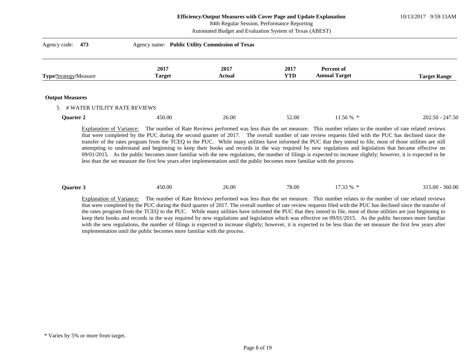10/13/2017 9:59:13AM

84th Regular Session, Performance Reporting

Automated Budget and Evaluation System of Texas (ABEST)

| Agency code:<br>473                                      | Agency name: Public Utility Commission of Texas |                       |                    |                                    |                     |
|----------------------------------------------------------|-------------------------------------------------|-----------------------|--------------------|------------------------------------|---------------------|
| Type/Strategy/Measure                                    | 2017<br><b>Target</b>                           | 2017<br><b>Actual</b> | 2017<br><b>YTD</b> | Percent of<br><b>Annual Target</b> | <b>Target Range</b> |
| <b>Output Measures</b><br>5 # WATER UTILITY RATE REVIEWS |                                                 |                       |                    |                                    |                     |
| <b>Quarter 2</b>                                         | 450.00                                          | 26.00                 | 52.00              | $11.56\%$ *                        | $202.50 - 247.50$   |

Explanation of Variance: The number of Rate Reviews performed was less than the set measure. This number relates to the number of rate related reviews that were completed by the PUC during the second quarter of 2017. The overall number of rate review requests filed with the PUC has declined since the transfer of the rates program from the TCEQ to the PUC. While many utilities have informed the PUC that they intend to file, most of those utilities are still attempting to understand and beginning to keep their books and records in the way required by new regulations and legislation that became effective on 09/01/2015. As the public becomes more familiar with the new regulations, the number of filings is expected to increase slightly; however, it is expected to be less than the set measure the first few years after implementation until the public becomes more familiar with the process.

| Ouarter. | 450.00 | 26.00 | 78.00 | 7,32,0/<br>, , , , | 360.00<br>315.00 |
|----------|--------|-------|-------|--------------------|------------------|
|          |        |       |       |                    |                  |

Explanation of Variance: The number of Rate Reviews performed was less than the set measure. This number relates to the number of rate related reviews that were completed by the PUC during the third quarter of 2017. The overall number of rate review requests filed with the PUC has declined since the transfer of the rates program from the TCEQ to the PUC. While many utilities have informed the PUC that they intend to file, most of those utilities are just beginning to keep their books and records in the way required by new regulations and legislation which was effective on 09/01/2015. As the public becomes more familiar with the new regulations, the number of filings is expected to increase slightly; however, it is expected to be less than the set measure the first few years after implementation until the public becomes more familiar with the process.

<sup>\*</sup> Varies by 5% or more from target.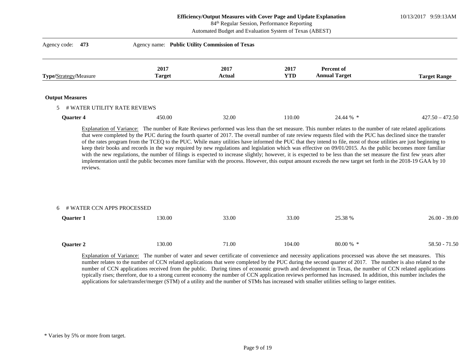10/13/2017 9:59:13AM

84th Regular Session, Performance Reporting

Automated Budget and Evaluation System of Texas (ABEST)

| Agency name: Public Utility Commission of Texas |                |                    |                                    |                     |
|-------------------------------------------------|----------------|--------------------|------------------------------------|---------------------|
| 2017<br><b>Target</b>                           | 2017<br>Actual | 2017<br><b>YTD</b> | Percent of<br><b>Annual Target</b> | <b>Target Range</b> |
|                                                 |                |                    |                                    |                     |
| 5 # WATER UTILITY RATE REVIEWS                  |                |                    |                                    |                     |
| 450.00                                          | 32.00          | 110.00             | 24.44 % *                          | $427.50 - 472.50$   |
|                                                 |                |                    |                                    |                     |

that were completed by the PUC during the fourth quarter of 2017. The overall number of rate review requests filed with the PUC has declined since the transfer of the rates program from the TCEQ to the PUC. While many utilities have informed the PUC that they intend to file, most of those utilities are just beginning to keep their books and records in the way required by new regulations and legislation which was effective on 09/01/2015. As the public becomes more familiar with the new regulations, the number of filings is expected to increase slightly; however, it is expected to be less than the set measure the first few years after implementation until the public becomes more familiar with the process. However, this output amount exceeds the new target set forth in the 2018-19 GAA by 10 reviews.

| 6 # WATER CCN APPS PROCESSED |        |       |        |             |                 |
|------------------------------|--------|-------|--------|-------------|-----------------|
| <b>Quarter 1</b>             | 130.00 | 33.00 | 33.00  | 25.38 %     | $26.00 - 39.00$ |
|                              |        |       |        |             |                 |
|                              |        |       |        |             |                 |
| Quarter 2                    | 130.00 | 71.00 | 104.00 | $80.00\%$ * | 58.50 - 71.50   |
|                              |        |       |        |             |                 |

Explanation of Variance: The number of water and sewer certificate of convenience and necessity applications processed was above the set measures. This number relates to the number of CCN related applications that were completed by the PUC during the second quarter of 2017. The number is also related to the number of CCN applications received from the public. During times of economic growth and development in Texas, the number of CCN related applications typically rises; therefore, due to a strong current economy the number of CCN application reviews performed has increased. In addition, this number includes the applications for sale/transfer/merger (STM) of a utility and the number of STMs has increased with smaller utilities selling to larger entities.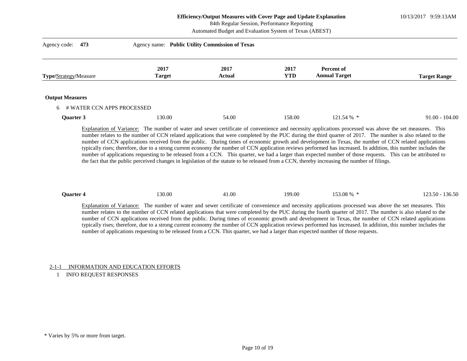#### **Efficiency/Output Measures with Cover Page and Update Explanation** 84th Regular Session, Performance Reporting

10/13/2017 9:59:13AM

|                                  |                       | Automated Budget and Evaluation System of Texas (ABEST) |                    |                                           |                     |  |
|----------------------------------|-----------------------|---------------------------------------------------------|--------------------|-------------------------------------------|---------------------|--|
| Agency code:<br>473              |                       | Agency name: Public Utility Commission of Texas         |                    |                                           |                     |  |
| Type/Strategy/Measure            | 2017<br><b>Target</b> | 2017<br>Actual                                          | 2017<br><b>YTD</b> | <b>Percent of</b><br><b>Annual Target</b> | <b>Target Range</b> |  |
| <b>Output Measures</b>           |                       |                                                         |                    |                                           |                     |  |
| # WATER CCN APPS PROCESSED<br>6. |                       |                                                         |                    |                                           |                     |  |
| Quarter 3                        | 130.00                | 54.00                                                   | 158.00             | 121.54 % *                                | $91.00 - 104.00$    |  |

Explanation of Variance: The number of water and sewer certificate of convenience and necessity applications processed was above the set measures. This number relates to the number of CCN related applications that were completed by the PUC during the third quarter of 2017. The number is also related to the number of CCN applications received from the public. During times of economic growth and development in Texas, the number of CCN related applications typically rises; therefore, due to a strong current economy the number of CCN application reviews performed has increased. In addition, this number includes the number of applications requesting to be released from a CCN. This quarter, we had a larger than expected number of those requests. This can be attributed to the fact that the public perceived changes in legislation of the statute to be released from a CCN, thereby increasing the number of filings.

| 153.08 %<br>41.00<br>136.50<br>30.00<br>199.00<br><b>Ouarter 4</b><br>$123.50 - 17$ |
|-------------------------------------------------------------------------------------|
|-------------------------------------------------------------------------------------|

Explanation of Variance: The number of water and sewer certificate of convenience and necessity applications processed was above the set measures. This number relates to the number of CCN related applications that were completed by the PUC during the fourth quarter of 2017. The number is also related to the number of CCN applications received from the public. During times of economic growth and development in Texas, the number of CCN related applications typically rises; therefore, due to a strong current economy the number of CCN application reviews performed has increased. In addition, this number includes the number of applications requesting to be released from a CCN. This quarter, we had a larger than expected number of those requests.

2-1-1 INFORMATION AND EDUCATION EFFORTS

1 INFO REQUEST RESPONSES

<sup>\*</sup> Varies by 5% or more from target.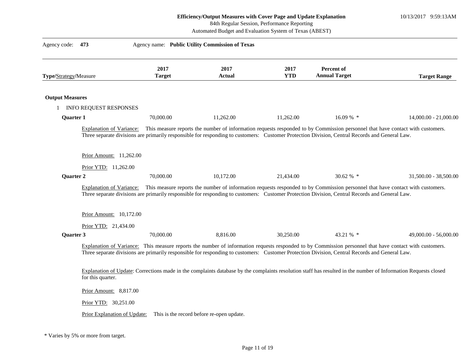10/13/2017 9:59:13AM

84th Regular Session, Performance Reporting

Automated Budget and Evaluation System of Texas (ABEST)

| Agency code:           | 473                             |                       | Agency name: Public Utility Commission of Texas |                    |                                                                                                                                                                                                                                                                                                           |                       |
|------------------------|---------------------------------|-----------------------|-------------------------------------------------|--------------------|-----------------------------------------------------------------------------------------------------------------------------------------------------------------------------------------------------------------------------------------------------------------------------------------------------------|-----------------------|
| Type/Strategy/Measure  |                                 | 2017<br><b>Target</b> | 2017<br><b>Actual</b>                           | 2017<br><b>YTD</b> | Percent of<br><b>Annual Target</b>                                                                                                                                                                                                                                                                        | <b>Target Range</b>   |
| <b>Output Measures</b> |                                 |                       |                                                 |                    |                                                                                                                                                                                                                                                                                                           |                       |
|                        | <b>INFO REQUEST RESPONSES</b>   |                       |                                                 |                    |                                                                                                                                                                                                                                                                                                           |                       |
| Quarter 1              |                                 | 70,000.00             | 11,262.00                                       | 11,262.00          | $16.09\%$ *                                                                                                                                                                                                                                                                                               | 14,000.00 - 21,000.00 |
|                        | Explanation of Variance:        |                       |                                                 |                    | This measure reports the number of information requests responded to by Commission personnel that have contact with customers.<br>Three separate divisions are primarily responsible for responding to customers: Customer Protection Division, Central Records and General Law.                          |                       |
|                        | Prior Amount: 11,262.00         |                       |                                                 |                    |                                                                                                                                                                                                                                                                                                           |                       |
|                        | Prior YTD: 11,262.00            |                       |                                                 |                    |                                                                                                                                                                                                                                                                                                           |                       |
| Quarter 2              |                                 | 70,000.00             | 10,172.00                                       | 21,434.00          | 30.62 % *                                                                                                                                                                                                                                                                                                 | 31,500.00 - 38,500.00 |
|                        | <b>Explanation of Variance:</b> |                       |                                                 |                    | This measure reports the number of information requests responded to by Commission personnel that have contact with customers.<br>Three separate divisions are primarily responsible for responding to customers: Customer Protection Division, Central Records and General Law.                          |                       |
|                        | Prior Amount: 10,172.00         |                       |                                                 |                    |                                                                                                                                                                                                                                                                                                           |                       |
|                        | Prior YTD: 21,434.00            |                       |                                                 |                    |                                                                                                                                                                                                                                                                                                           |                       |
| Quarter 3              |                                 | 70,000.00             | 8,816.00                                        | 30,250.00          | 43.21 % *                                                                                                                                                                                                                                                                                                 | 49,000.00 - 56,000.00 |
|                        |                                 |                       |                                                 |                    | Explanation of Variance: This measure reports the number of information requests responded to by Commission personnel that have contact with customers.<br>Three separate divisions are primarily responsible for responding to customers: Customer Protection Division, Central Records and General Law. |                       |
|                        | for this quarter.               |                       |                                                 |                    | Explanation of Update: Corrections made in the complaints database by the complaints resolution staff has resulted in the number of Information Requests closed                                                                                                                                           |                       |
|                        | Prior Amount: 8,817.00          |                       |                                                 |                    |                                                                                                                                                                                                                                                                                                           |                       |
|                        | Prior YTD: 30,251.00            |                       |                                                 |                    |                                                                                                                                                                                                                                                                                                           |                       |
|                        | Prior Explanation of Update:    |                       | This is the record before re-open update.       |                    |                                                                                                                                                                                                                                                                                                           |                       |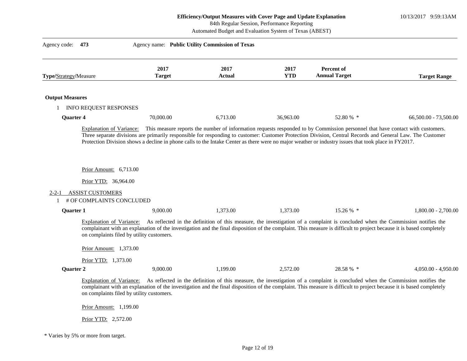10/13/2017 9:59:13AM

84th Regular Session, Performance Reporting

Automated Budget and Evaluation System of Texas (ABEST)

| Agency code:<br>473                    |                                                                                                 | Agency name: Public Utility Commission of Texas                                                                                                                                                                                                                                                                                 |                    |                                    |                       |
|----------------------------------------|-------------------------------------------------------------------------------------------------|---------------------------------------------------------------------------------------------------------------------------------------------------------------------------------------------------------------------------------------------------------------------------------------------------------------------------------|--------------------|------------------------------------|-----------------------|
| Type/Strategy/Measure                  | 2017<br><b>Target</b>                                                                           | 2017<br>Actual                                                                                                                                                                                                                                                                                                                  | 2017<br><b>YTD</b> | Percent of<br><b>Annual Target</b> | <b>Target Range</b>   |
| <b>Output Measures</b>                 |                                                                                                 |                                                                                                                                                                                                                                                                                                                                 |                    |                                    |                       |
| 1 INFO REQUEST RESPONSES               |                                                                                                 |                                                                                                                                                                                                                                                                                                                                 |                    |                                    |                       |
| <b>Quarter 4</b>                       | 70,000.00                                                                                       | 6,713.00                                                                                                                                                                                                                                                                                                                        | 36,963.00          | 52.80 % *                          | 66,500.00 - 73,500.00 |
|                                        | Prior Amount: 6,713.00                                                                          | Three separate divisions are primarily responsible for responding to customer: Customer Protection Division, Central Records and General Law. The Customer<br>Protection Division shows a decline in phone calls to the Intake Center as there were no major weather or industry issues that took place in FY2017.              |                    |                                    |                       |
|                                        |                                                                                                 |                                                                                                                                                                                                                                                                                                                                 |                    |                                    |                       |
|                                        | Prior YTD: 36,964.00                                                                            |                                                                                                                                                                                                                                                                                                                                 |                    |                                    |                       |
| <b>ASSIST CUSTOMERS</b><br>$2 - 2 - 1$ | # OF COMPLAINTS CONCLUDED                                                                       |                                                                                                                                                                                                                                                                                                                                 |                    |                                    |                       |
| <b>Quarter 1</b>                       | 9,000.00                                                                                        | 1,373.00                                                                                                                                                                                                                                                                                                                        | 1,373.00           | 15.26 % *                          | $1,800.00 - 2,700.00$ |
|                                        | on complaints filed by utility customers.<br>Prior Amount: 1,373.00<br>Prior YTD: 1,373.00      | Explanation of Variance: As reflected in the definition of this measure, the investigation of a complaint is concluded when the Commission notifies the<br>complainant with an explanation of the investigation and the final disposition of the complaint. This measure is difficult to project because it is based completely |                    |                                    |                       |
| Quarter 2                              | 9,000.00                                                                                        | 1,199.00                                                                                                                                                                                                                                                                                                                        | 2,572.00           | 28.58 % *                          | $4,050.00 - 4,950.00$ |
|                                        | Explanation of Variance:<br>on complaints filed by utility customers.<br>Prior Amount: 1,199.00 | As reflected in the definition of this measure, the investigation of a complaint is concluded when the Commission notifies the<br>complainant with an explanation of the investigation and the final disposition of the complaint. This measure is difficult to project because it is based completely                          |                    |                                    |                       |

Prior YTD: 2,572.00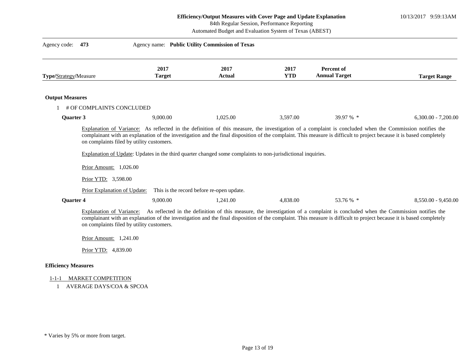10/13/2017 9:59:13AM

84th Regular Session, Performance Reporting

Automated Budget and Evaluation System of Texas (ABEST)

|                        | 473                                                                 |                       | Agency name: Public Utility Commission of Texas                                                              |                    |                                           |                       |
|------------------------|---------------------------------------------------------------------|-----------------------|--------------------------------------------------------------------------------------------------------------|--------------------|-------------------------------------------|-----------------------|
| Type/Strategy/Measure  |                                                                     | 2017<br><b>Target</b> | 2017<br><b>Actual</b>                                                                                        | 2017<br><b>YTD</b> | <b>Percent of</b><br><b>Annual Target</b> | <b>Target Range</b>   |
| <b>Output Measures</b> |                                                                     |                       |                                                                                                              |                    |                                           |                       |
|                        | # OF COMPLAINTS CONCLUDED                                           |                       |                                                                                                              |                    |                                           |                       |
| <b>Ouarter 3</b>       |                                                                     | 9,000.00              | 1,025.00                                                                                                     | 3,597.00           | 39.97 % *                                 | $6,300.00 - 7,200.00$ |
|                        | on complaints filed by utility customers.<br>Prior Amount: 1,026.00 |                       | Explanation of Update: Updates in the third quarter changed some complaints to non-jurisdictional inquiries. |                    |                                           |                       |
|                        | Prior YTD: 3,598.00                                                 |                       |                                                                                                              |                    |                                           |                       |
| <b>Quarter 4</b>       | Prior Explanation of Update:                                        | 9,000.00              | This is the record before re-open update.<br>1,241.00                                                        | 4,838.00           | 53.76 % *                                 | $8,550.00 - 9,450.00$ |

## **Efficiency Measures**

# 1-1-1 MARKET COMPETITION

1 AVERAGE DAYS/COA & SPCOA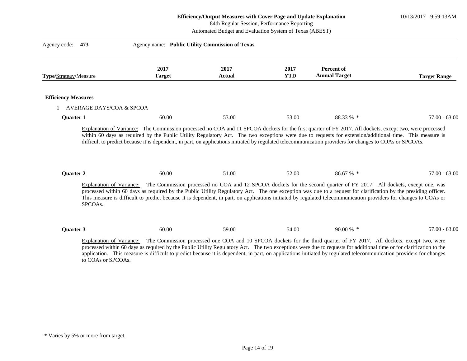10/13/2017 9:59:13AM

84th Regular Session, Performance Reporting

Automated Budget and Evaluation System of Texas (ABEST)

| Type/Strategy/Measure      |                            | 2017<br><b>Target</b> | 2017<br><b>Actual</b> | 2017<br><b>YTD</b> | Percent of<br><b>Annual Target</b>                                                                                                                                                                                                                                                                                                                                                                                                                                                 | <b>Target Range</b> |
|----------------------------|----------------------------|-----------------------|-----------------------|--------------------|------------------------------------------------------------------------------------------------------------------------------------------------------------------------------------------------------------------------------------------------------------------------------------------------------------------------------------------------------------------------------------------------------------------------------------------------------------------------------------|---------------------|
| <b>Efficiency Measures</b> |                            |                       |                       |                    |                                                                                                                                                                                                                                                                                                                                                                                                                                                                                    |                     |
|                            | 1 AVERAGE DAYS/COA & SPCOA |                       |                       |                    |                                                                                                                                                                                                                                                                                                                                                                                                                                                                                    |                     |
| <b>Quarter 1</b>           |                            | 60.00                 | 53.00                 | 53.00              | 88.33 % *                                                                                                                                                                                                                                                                                                                                                                                                                                                                          | $57.00 - 63.00$     |
|                            |                            | 60.00                 | 51.00                 | 52.00              | 86.67 % *                                                                                                                                                                                                                                                                                                                                                                                                                                                                          | $57.00 - 63.00$     |
| Quarter 2                  |                            |                       |                       |                    | Explanation of Variance: The Commission processed no COA and 12 SPCOA dockets for the second quarter of FY 2017. All dockets, except one, was<br>processed within 60 days as required by the Public Utility Regulatory Act. The one exception was due to a request for clarification by the presiding officer.<br>This measure is difficult to predict because it is dependent, in part, on applications initiated by regulated telecommunication providers for changes to COAs or |                     |
|                            | SPCOAs.                    |                       |                       |                    |                                                                                                                                                                                                                                                                                                                                                                                                                                                                                    |                     |
| Quarter 3                  |                            | 60.00                 | 59.00                 | 54.00              | 90.00 % *                                                                                                                                                                                                                                                                                                                                                                                                                                                                          | $57.00 - 63.00$     |

<sup>\*</sup> Varies by 5% or more from target.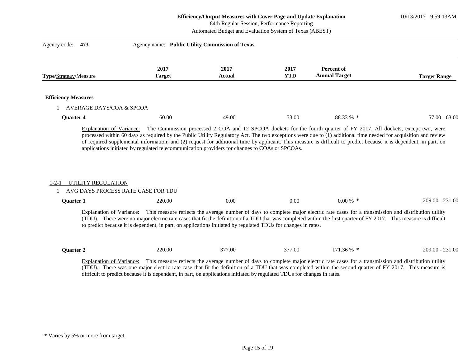10/13/2017 9:59:13AM

84th Regular Session, Performance Reporting

Automated Budget and Evaluation System of Texas (ABEST)

| Type/Strategy/Measure                                                                       | 2017<br><b>Target</b>                                                                                          | 2017<br><b>Actual</b> | 2017<br><b>YTD</b> | Percent of<br><b>Annual Target</b>                                                                                                                                                                                                                                                                                                                                                                                                                           | <b>Target Range</b> |
|---------------------------------------------------------------------------------------------|----------------------------------------------------------------------------------------------------------------|-----------------------|--------------------|--------------------------------------------------------------------------------------------------------------------------------------------------------------------------------------------------------------------------------------------------------------------------------------------------------------------------------------------------------------------------------------------------------------------------------------------------------------|---------------------|
| <b>Efficiency Measures</b>                                                                  |                                                                                                                |                       |                    |                                                                                                                                                                                                                                                                                                                                                                                                                                                              |                     |
| AVERAGE DAYS/COA & SPCOA                                                                    |                                                                                                                |                       |                    |                                                                                                                                                                                                                                                                                                                                                                                                                                                              |                     |
| Quarter 4                                                                                   | 60.00                                                                                                          | 49.00                 | 53.00              | 88.33 % *                                                                                                                                                                                                                                                                                                                                                                                                                                                    | $57.00 - 63.00$     |
| Explanation of Variance:                                                                    | applications initiated by regulated telecommunication providers for changes to COAs or SPCOAs.                 |                       |                    | The Commission processed 2 COA and 12 SPCOA dockets for the fourth quarter of FY 2017. All dockets, except two, were<br>processed within 60 days as required by the Public Utility Regulatory Act. The two exceptions were due to (1) additional time needed for acquisition and review<br>of required supplemental information; and (2) request for additional time by applicant. This measure is difficult to predict because it is dependent, in part, on |                     |
| UTILITY REGULATION<br>$1 - 2 - 1$<br>AVG DAYS PROCESS RATE CASE FOR TDU<br><b>Ouarter 1</b> | 220.00                                                                                                         | 0.00                  | 0.00               | $0.00\%$ *                                                                                                                                                                                                                                                                                                                                                                                                                                                   | $209.00 - 231.00$   |
|                                                                                             | to predict because it is dependent, in part, on applications initiated by regulated TDUs for changes in rates. |                       |                    | Explanation of Variance: This measure reflects the average number of days to complete major electric rate cases for a transmission and distribution utility<br>(TDU). There were no major electric rate cases that fit the definition of a TDU that was completed within the first quarter of FY 2017. This measure is difficult                                                                                                                             |                     |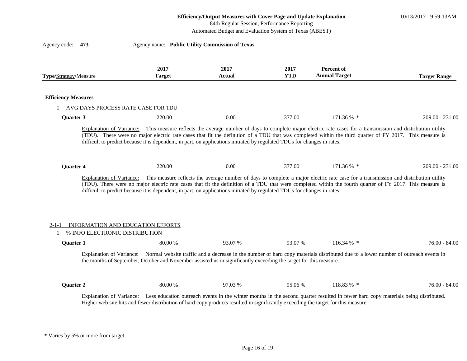|                            |                                                                                                                                                                                                                                                                                                                                                                                                                                                                                                                                                                                             | Efficiency/Output Measures with Cover Page and Update Explanation<br>84th Regular Session, Performance Reporting<br>Automated Budget and Evaluation System of Texas (ABEST) |                    |                                                                                                                                    | 10/13/2017 9:59:13AM |
|----------------------------|---------------------------------------------------------------------------------------------------------------------------------------------------------------------------------------------------------------------------------------------------------------------------------------------------------------------------------------------------------------------------------------------------------------------------------------------------------------------------------------------------------------------------------------------------------------------------------------------|-----------------------------------------------------------------------------------------------------------------------------------------------------------------------------|--------------------|------------------------------------------------------------------------------------------------------------------------------------|----------------------|
| Agency code:<br>473        |                                                                                                                                                                                                                                                                                                                                                                                                                                                                                                                                                                                             | Agency name: Public Utility Commission of Texas                                                                                                                             |                    |                                                                                                                                    |                      |
| Type/Strategy/Measure      | 2017<br><b>Target</b>                                                                                                                                                                                                                                                                                                                                                                                                                                                                                                                                                                       | 2017<br><b>Actual</b>                                                                                                                                                       | 2017<br><b>YTD</b> | Percent of<br><b>Annual Target</b>                                                                                                 | <b>Target Range</b>  |
| <b>Efficiency Measures</b> |                                                                                                                                                                                                                                                                                                                                                                                                                                                                                                                                                                                             |                                                                                                                                                                             |                    |                                                                                                                                    |                      |
|                            | 1 AVG DAYS PROCESS RATE CASE FOR TDU                                                                                                                                                                                                                                                                                                                                                                                                                                                                                                                                                        |                                                                                                                                                                             |                    |                                                                                                                                    |                      |
| Quarter 3                  | 220.00                                                                                                                                                                                                                                                                                                                                                                                                                                                                                                                                                                                      | 0.00                                                                                                                                                                        | 377.00             | 171.36 % *                                                                                                                         | $209.00 - 231.00$    |
| <b>Quarter 4</b>           | difficult to predict because it is dependent, in part, on applications initiated by regulated TDUs for changes in rates.<br>220.00<br>Explanation of Variance: This measure reflects the average number of days to complete a major electric rate case for a transmission and distribution utility<br>(TDU). There were no major electric rate cases that fit the definition of a TDU that were completed within the fourth quarter of FY 2017. This measure is<br>difficult to predict because it is dependent, in part, on applications initiated by regulated TDUs for changes in rates. | 0.00                                                                                                                                                                        | 377.00             | 171.36 % *                                                                                                                         | $209.00 - 231.00$    |
| <b>Quarter 1</b>           | INFORMATION AND EDUCATION EFFORTS<br>% INFO ELECTRONIC DISTRIBUTION<br>80.00 %<br>Explanation of Variance: Normal website traffic and a decrease in the number of hard copy materials distributed due to a lower number of outreach events in                                                                                                                                                                                                                                                                                                                                               | 93.07%                                                                                                                                                                      | 93.07 %            | 116.34 $%$ *                                                                                                                       | $76.00 - 84.00$      |
| Quarter 2                  | the months of September, October and November assisted us in significantly exceeding the target for this measure.<br>80.00 %                                                                                                                                                                                                                                                                                                                                                                                                                                                                | 97.03 %                                                                                                                                                                     | 95.06 %            | 118.83 % *                                                                                                                         | 76.00 - 84.00        |
| Explanation of Variance:   | Higher web site hits and fewer distribution of hard copy products resulted in significantly exceeding the target for this measure.                                                                                                                                                                                                                                                                                                                                                                                                                                                          |                                                                                                                                                                             |                    | Less education outreach events in the winter months in the second quarter resulted in fewer hard copy materials being distributed. |                      |

 $\frac{1}{2}$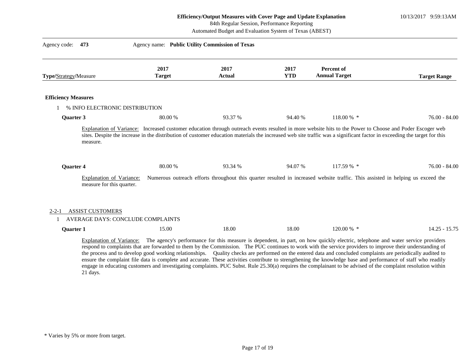## 84th Regular Session, Performance Reporting

Automated Budget and Evaluation System of Texas (ABEST)

| Type/Strategy/Measure                                                       | 2017<br><b>Target</b> | 2017<br>Actual | 2017<br><b>YTD</b> | Percent of<br><b>Annual Target</b>                                                                                                                                                                                                                                                                                                   | <b>Target Range</b> |
|-----------------------------------------------------------------------------|-----------------------|----------------|--------------------|--------------------------------------------------------------------------------------------------------------------------------------------------------------------------------------------------------------------------------------------------------------------------------------------------------------------------------------|---------------------|
| <b>Efficiency Measures</b>                                                  |                       |                |                    |                                                                                                                                                                                                                                                                                                                                      |                     |
| % INFO ELECTRONIC DISTRIBUTION                                              |                       |                |                    |                                                                                                                                                                                                                                                                                                                                      |                     |
| Quarter 3                                                                   | 80.00 %               | 93.37 %        | 94.40 %            | 118.00 % *                                                                                                                                                                                                                                                                                                                           | $76.00 - 84.00$     |
| measure.                                                                    |                       |                |                    | Explanation of Variance: Increased customer education through outreach events resulted in more website hits to the Power to Choose and Poder Escoger web<br>sites. Despite the increase in the distribution of customer education materials the increased web site traffic was a significant factor in exceeding the target for this |                     |
| Quarter 4                                                                   | 80.00 %               | 93.34 %        | 94.07 %            | $117.59\%$ *                                                                                                                                                                                                                                                                                                                         | $76.00 - 84.00$     |
| Explanation of Variance:<br>measure for this quarter.                       |                       |                |                    | Numerous outreach efforts throughout this quarter resulted in increased website traffic. This assisted in helping us exceed the                                                                                                                                                                                                      |                     |
| <b>ASSIST CUSTOMERS</b><br>$2 - 2 - 1$<br>AVERAGE DAYS: CONCLUDE COMPLAINTS |                       |                |                    |                                                                                                                                                                                                                                                                                                                                      |                     |

respond to complaints that are forwarded to them by the Commission. The PUC continues to work with the service providers to improve their understanding of the process and to develop good working relationships. Quality checks are performed on the entered data and concluded complaints are periodically audited to ensure the complaint file data is complete and accurate. These activities contribute to strengthening the knowledge base and performance of staff who readily engage in educating customers and investigating complaints. PUC Subst. Rule 25.30(a) requires the complainant to be advised of the complaint resolution within 21 days.

<sup>\*</sup> Varies by 5% or more from target.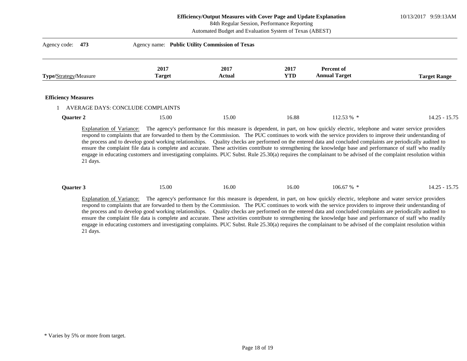10/13/2017 9:59:13AM

84th Regular Session, Performance Reporting

Automated Budget and Evaluation System of Texas (ABEST)

| Agency code:<br>473          | Agency name: Public Utility Commission of Texas |                       |                    |                                    |                     |
|------------------------------|-------------------------------------------------|-----------------------|--------------------|------------------------------------|---------------------|
| <b>Type/Strategy/Measure</b> | 2017<br><b>Target</b>                           | 2017<br><b>Actual</b> | 2017<br><b>YTD</b> | Percent of<br><b>Annual Target</b> | <b>Target Range</b> |
| <b>Efficiency Measures</b>   |                                                 |                       |                    |                                    |                     |
|                              | AVERAGE DAYS: CONCLUDE COMPLAINTS               |                       |                    |                                    |                     |
| Quarter 2                    | 15.00                                           | 15.00                 | 16.88              | $112.53\%$ *                       | $14.25 - 15.75$     |

Explanation of Variance: The agency's performance for this measure is dependent, in part, on how quickly electric, telephone and water service providers respond to complaints that are forwarded to them by the Commission. The PUC continues to work with the service providers to improve their understanding of the process and to develop good working relationships. Quality checks are performed on the entered data and concluded complaints are periodically audited to ensure the complaint file data is complete and accurate. These activities contribute to strengthening the knowledge base and performance of staff who readily engage in educating customers and investigating complaints. PUC Subst. Rule 25.30(a) requires the complainant to be advised of the complaint resolution within 21 days.

| <b>Ouarter</b> 3 | 5.00 | 16.00 | 16.00 | 67 %<br>106.67<br>- - - | 5.75<br>$\sim$<br>$\sim$<br>. .<br>IД<br>−……<br>10.IU |
|------------------|------|-------|-------|-------------------------|-------------------------------------------------------|
|------------------|------|-------|-------|-------------------------|-------------------------------------------------------|

Explanation of Variance: The agency's performance for this measure is dependent, in part, on how quickly electric, telephone and water service providers respond to complaints that are forwarded to them by the Commission. The PUC continues to work with the service providers to improve their understanding of the process and to develop good working relationships. Quality checks are performed on the entered data and concluded complaints are periodically audited to ensure the complaint file data is complete and accurate. These activities contribute to strengthening the knowledge base and performance of staff who readily engage in educating customers and investigating complaints. PUC Subst. Rule 25.30(a) requires the complainant to be advised of the complaint resolution within 21 days.

<sup>\*</sup> Varies by 5% or more from target.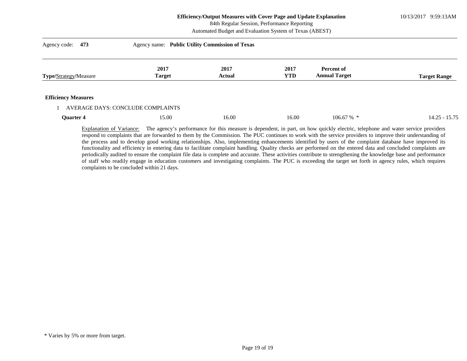10/13/2017 9:59:13AM

|                            |                                                 | 84th Regular Session, Performance Reporting<br>Automated Budget and Evaluation System of Texas (ABEST) |                    |                                    |                     |  |  |
|----------------------------|-------------------------------------------------|--------------------------------------------------------------------------------------------------------|--------------------|------------------------------------|---------------------|--|--|
| Agency code:<br>473        | Agency name: Public Utility Commission of Texas |                                                                                                        |                    |                                    |                     |  |  |
| Type/Strategy/Measure      | 2017<br><b>Target</b>                           | 2017<br><b>Actual</b>                                                                                  | 2017<br><b>YTD</b> | Percent of<br><b>Annual Target</b> | <b>Target Range</b> |  |  |
| <b>Efficiency Measures</b> |                                                 |                                                                                                        |                    |                                    |                     |  |  |
|                            | AVERAGE DAYS: CONCLUDE COMPLAINTS               |                                                                                                        |                    |                                    |                     |  |  |
| Quarter 4                  | 15.00                                           | 16.00                                                                                                  | 16.00              | 106.67%                            | $14.25 - 15.75$     |  |  |

Explanation of Variance: The agency's performance for this measure is dependent, in part, on how quickly electric, telephone and water service providers respond to complaints that are forwarded to them by the Commission. The PUC continues to work with the service providers to improve their understanding of the process and to develop good working relationships. Also, implementing enhancements identified by users of the complaint database have improved its functionality and efficiency in entering data to facilitate complaint handling. Quality checks are performed on the entered data and concluded complaints are periodically audited to ensure the complaint file data is complete and accurate. These activities contribute to strengthening the knowledge base and performance of staff who readily engage in education customers and investigating complaints. The PUC is exceeding the target set forth in agency rules, which requires complaints to be concluded within 21 days.

<sup>\*</sup> Varies by 5% or more from target.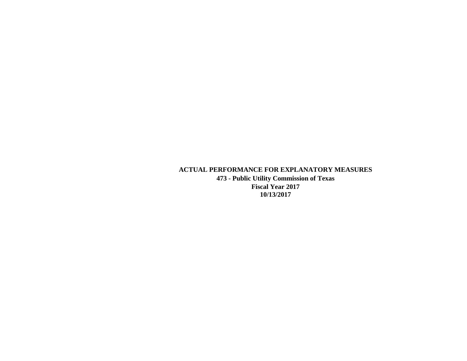# **ACTUAL PERFORMANCE FOR EXPLANATORY MEASURES**

**473 - Public Utility Commission of Texas Fiscal Year 2017 10/13/2017**